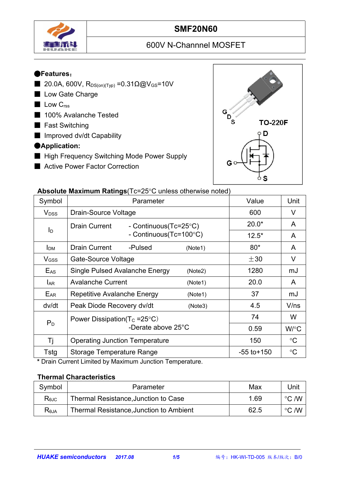

## **SMF20N60**

# 600V N-Channnel MOSFET

#### ●**Features**:

- 20.0A, 600V, R<sub>DS(on)(Typ)</sub> = 0.31Ω@V<sub>GS</sub>=10V
- Low Gate Charge
- Low C<sub>rss</sub>
- 100% Avalanche Tested
- Fast Switching
- Improved dv/dt Capability

#### ●**Application:**

- High Frequency Switching Mode Power Supply
- Active Power Factor Correction



#### **Absolute Maximum Ratings** (Tc=25°C unless otherwise noted)

|                         | $\sim$ . The measurement is a consequence of the control increase of the control increase of the control increase of the control increase of the control increase of the control increase of the control increase of the contro |                 |                 |
|-------------------------|---------------------------------------------------------------------------------------------------------------------------------------------------------------------------------------------------------------------------------|-----------------|-----------------|
| Symbol                  | Parameter                                                                                                                                                                                                                       | Value           | Unit            |
| <b>V</b> <sub>DSS</sub> | Drain-Source Voltage                                                                                                                                                                                                            | 600             | $\vee$          |
|                         | Drain Current<br>- Continuous(Tc=25°C)                                                                                                                                                                                          | $20.0*$         | A               |
| $I_{\mathsf{D}}$        | - Continuous(Tc=100°C)                                                                                                                                                                                                          | $12.5*$         | A               |
| I <sub>DM</sub>         | <b>Drain Current</b><br>-Pulsed<br>(Note1)                                                                                                                                                                                      | $80*$           | A               |
| V <sub>GSS</sub>        | Gate-Source Voltage                                                                                                                                                                                                             | $\pm 30$        | V               |
| $E_{AS}$                | Single Pulsed Avalanche Energy<br>(Note2)                                                                                                                                                                                       | 1280            | mJ              |
| <b>LAR</b>              | <b>Avalanche Current</b><br>(Note1)                                                                                                                                                                                             | 20.0            | $\mathsf{A}$    |
| EAR                     | Repetitive Avalanche Energy<br>(Note1)                                                                                                                                                                                          | 37              | mJ              |
| dv/dt                   | Peak Diode Recovery dv/dt<br>(Note3)                                                                                                                                                                                            | 4.5             | V/ns            |
|                         | Power Dissipation( $T_c = 25^{\circ}C$ )                                                                                                                                                                                        | 74              | W               |
| $P_D$                   | -Derate above 25°C                                                                                                                                                                                                              | 0.59            | W/°C            |
| Τj                      | <b>Operating Junction Temperature</b>                                                                                                                                                                                           | 150             | $\rm ^{\circ}C$ |
| Tstg                    | <b>Storage Temperature Range</b>                                                                                                                                                                                                | $-55$ to $+150$ | $\rm ^{\circ}C$ |

**\*** Drain Current Limited by Maximum Junction Temperature.

#### **Thermal Characteristics**

| Symbol         | Parameter                               | Max  | Unit            |  |
|----------------|-----------------------------------------|------|-----------------|--|
| $R_{\theta$ JC | Thermal Resistance, Junction to Case    | .69  | こ /W<br>$\circ$ |  |
| $R_{\theta$ JA | Thermal Resistance, Junction to Ambient | 62.5 | こ /W<br>$\circ$ |  |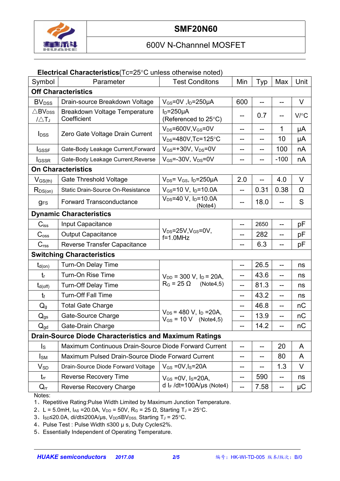

#### **Electrical Characteristics**(Tc=25°C unless otherwise noted)

| Symbol                                             | Parameter                                                     | <b>Test Conditons</b>                                       | Min | Typ  | Max    | Unit     |  |  |
|----------------------------------------------------|---------------------------------------------------------------|-------------------------------------------------------------|-----|------|--------|----------|--|--|
| <b>Off Characteristics</b>                         |                                                               |                                                             |     |      |        |          |  |  |
| <b>BV</b> <sub>DSS</sub>                           | Drain-source Breakdown Voltage                                | $V_{GS}$ =0V, l <sub>D</sub> =250µA                         | 600 |      |        | V        |  |  |
| $\triangle$ BV <sub>DSS</sub><br>$1/\triangle T_J$ | Breakdown Voltage Temperature<br>Coefficient                  | $ID=250µA$<br>(Referenced to 25°C)                          | --  | 0.7  |        | V/C      |  |  |
|                                                    | Zero Gate Voltage Drain Current                               | $V_{DS} = 600V$ , $V_{GS} = 0V$                             | --  | --   | 1      | μA       |  |  |
| <b>I</b> <sub>DSS</sub>                            |                                                               | $V_{DS} = 480V$ , Tc=125°C                                  | --  | --   | 10     | μA       |  |  |
| <b>I</b> GSSF                                      | Gate-Body Leakage Current, Forward                            | $V_{GS}$ =+30V, $V_{DS}$ =0V                                | --  | --   | 100    | nA       |  |  |
| <b>I</b> GSSR                                      | Gate-Body Leakage Current, Reverse                            | $V_{GS}$ =-30V, $V_{DS}$ =0V                                | --  | --   | $-100$ | nA       |  |  |
| <b>On Characteristics</b>                          |                                                               |                                                             |     |      |        |          |  |  |
| $V_{GS(th)}$                                       | <b>Gate Threshold Voltage</b>                                 | $V_{DS} = V_{GS}$ , $I_D = 250 \mu A$                       | 2.0 |      | 4.0    | $\vee$   |  |  |
| $R_{DS(on)}$                                       | Static Drain-Source On-Resistance                             | $V_{GS}$ =10 V, $I_D$ =10.0A                                | $-$ | 0.31 | 0.38   | $\Omega$ |  |  |
| <b>gFS</b>                                         | <b>Forward Transconductance</b>                               | $V_{DS} = 40 V$ , $I_D = 10.0 A$<br>(Note4)                 | --  | 18.0 |        | S        |  |  |
| <b>Dynamic Characteristics</b>                     |                                                               |                                                             |     |      |        |          |  |  |
| $C$ <sub>iss</sub>                                 | Input Capacitance                                             |                                                             | $-$ | 2650 |        | pF       |  |  |
| C <sub>oss</sub>                                   | <b>Output Capacitance</b>                                     | $V_{DS} = 25V$ , $V_{GS} = 0V$ ,<br>$f=1.0$ MHz             | --  | 282  | --     | рF       |  |  |
| C <sub>rss</sub>                                   | Reverse Transfer Capacitance                                  |                                                             | --  | 6.3  |        | pF       |  |  |
|                                                    | <b>Switching Characteristics</b>                              |                                                             |     |      |        |          |  |  |
| $t_{d(on)}$                                        | Turn-On Delay Time                                            |                                                             | --  | 26.5 |        | ns       |  |  |
| $t_{\rm r}$                                        | Turn-On Rise Time                                             | $V_{DD}$ = 300 V, $I_D$ = 20A,                              | --  | 43.6 | --     | ns       |  |  |
| $t_{d(off)}$                                       | <b>Turn-Off Delay Time</b>                                    | $R_G = 25 \Omega$<br>(Note4,5)                              | --  | 81.3 | --     | ns       |  |  |
| $t_{\rm f}$                                        | <b>Turn-Off Fall Time</b>                                     |                                                             | --  | 43.2 |        | ns       |  |  |
| $Q_g$                                              | <b>Total Gate Charge</b>                                      |                                                             | --  | 46.8 | --     | nC       |  |  |
| $Q_{gs}$                                           | Gate-Source Charge                                            | $V_{DS}$ = 480 V, $I_D$ = 20A,<br>$V_{GS} = 10 V$ (Note4,5) | --  | 13.9 |        | nC       |  |  |
| $Q_{gd}$                                           | Gate-Drain Charge                                             |                                                             | --  | 14.2 |        | nC       |  |  |
|                                                    | <b>Drain-Source Diode Characteristics and Maximum Ratings</b> |                                                             |     |      |        |          |  |  |
| $\mathsf{I}_\mathsf{S}$                            | Maximum Continuous Drain-Source Diode Forward Current         |                                                             | --  |      | 20     | A        |  |  |
| $I_{SM}$                                           |                                                               | Maximum Pulsed Drain-Source Diode Forward Current           |     |      | 80     | A        |  |  |
| $V_{SD}$                                           | Drain-Source Diode Forward Voltage                            | $V_{GS} = 0V$ , $I_S = 20A$                                 | --  | --   | 1.3    | $\vee$   |  |  |
| $t_{rr}$                                           | <b>Reverse Recovery Time</b>                                  | $V_{GS} = 0V$ , Is=20A,                                     | --  | 590  | $- -$  | ns       |  |  |
| $Q_{rr}$                                           | <b>Reverse Recovery Charge</b>                                | d I <sub>F</sub> /dt=100A/µs (Note4)                        | $-$ | 7.58 | --     | μC       |  |  |

Notes:

1、Repetitive Rating:Pulse Width Limited by Maximum Junction Temperature.

2、L = 5.0mH,  $I_{AS}$  = 20.0A,  $V_{DD}$  = 50V, R<sub>G</sub> = 25 Ω, Starting T<sub>J</sub> = 25 °C.

3、Isp≤20.0A, di/dt≤200A/µs, V<sub>DD</sub>≤BV<sub>DSS,</sub> Starting T<sub>J</sub> = 25°C.

4、Pulse Test : Pulse Width ≤300 µ s, Duty Cycle≤2%.

5、Essentially Independent of Operating Temperature.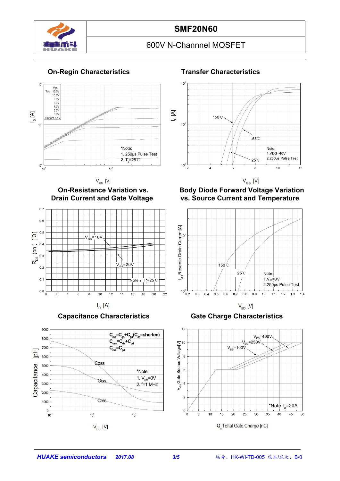



 $10^{\circ}$  $[A]$ 150℃  $10$  $-55^{\circ}$ C Note: 1.VDS=40V 2.250us Pulse Test  $25^\circ$  $10^0$  $\overline{2}$ 8  $10$  $12$  $\overline{\phantom{a}}$  $6$  $V_{GS}$  [V]





 $I_D$  [A]



**On-Resistance Variation vs. Body Diode Forward Voltage Variation vs. Source Current and Temperature** 



**Capacitance Characteristics Gate Charge Characteristics**



# **On-Regin Characteristics Transfer Characteristics**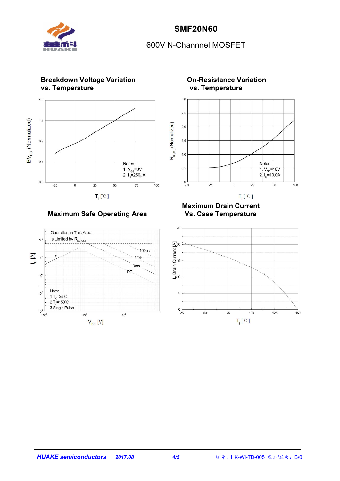



#### **Maximum Safe Operating Area**



**Breakdown Voltage Variation On-Resistance Variation**



 $T_i$ [  $^{\circ}$ C ]

**Maximum Drain Current**